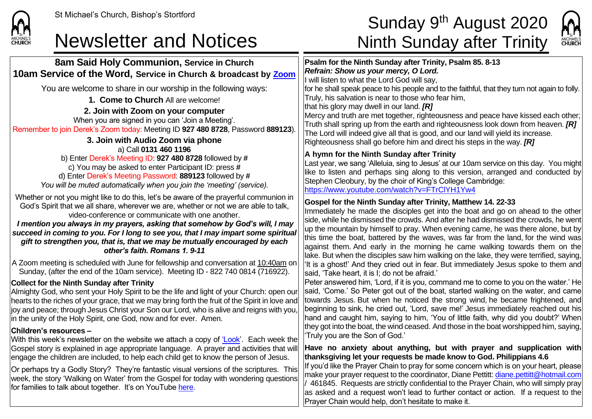

#### Newsletter and Notices Ninth Sunday after Trinity

# St Michael's Church, Bishop's Stortford  $\textsf{Sunday}\ 9^\textsf{th}\ \textsf{August}\ 2020$



| 8am Said Holy Communion, Service in Church<br>10am Service of the Word, Service in Church & broadcast by Zoom                                                                                                                                                                                                                                                                                                                                                                                                                                | Psalm for the Ninth Sunday after Trinity, Psalm 85. 8-13<br>Refrain: Show us your mercy, O Lord.<br>I will listen to what the Lord God will say,                                                                                                                                                                                                                                                                                                                                                                                                                      |
|----------------------------------------------------------------------------------------------------------------------------------------------------------------------------------------------------------------------------------------------------------------------------------------------------------------------------------------------------------------------------------------------------------------------------------------------------------------------------------------------------------------------------------------------|-----------------------------------------------------------------------------------------------------------------------------------------------------------------------------------------------------------------------------------------------------------------------------------------------------------------------------------------------------------------------------------------------------------------------------------------------------------------------------------------------------------------------------------------------------------------------|
| You are welcome to share in our worship in the following ways:<br>1. Come to Church All are welcome!<br>2. Join with Zoom on your computer<br>When you are signed in you can 'Join a Meeting'.<br>Remember to join Derek's Zoom today: Meeting ID 927 480 8728, Password 889123)<br>3. Join with Audio Zoom via phone                                                                                                                                                                                                                        | for he shall speak peace to his people and to the faithful, that they turn not again to folly.<br>Truly, his salvation is near to those who fear him,<br>that his glory may dwell in our land. [R]<br>Mercy and truth are met together, righteousness and peace have kissed each other;<br>Truth shall spring up from the earth and righteousness look down from heaven. [R]<br>The Lord will indeed give all that is good, and our land will yield its increase.<br>Righteousness shall go before him and direct his steps in the way. $[R]$                         |
| a) Call 0131 460 1196<br>b) Enter Derek's Meeting ID: 927 480 8728 followed by #<br>c) You may be asked to enter Participant ID: press #<br>d) Enter Derek's Meeting Password: 889123 followed by #<br>You will be muted automatically when you join the 'meeting' (service).                                                                                                                                                                                                                                                                | A hymn for the Ninth Sunday after Trinity<br>Last year, we sang 'Alleluia, sing to Jesus' at our 10am service on this day. You might<br>like to listen and perhaps sing along to this version, arranged and conducted by<br>Stephen Cleobury, by the choir of King's College Cambridge:<br>https://www.youtube.com/watch?v=FTrClYH1Yw4                                                                                                                                                                                                                                |
| Whether or not you might like to do this, let's be aware of the prayerful communion in<br>God's Spirit that we all share, wherever we are, whether or not we are able to talk,<br>video-conference or communicate with one another.<br>I mention you always in my prayers, asking that somehow by God's will, I may<br>succeed in coming to you. For I long to see you, that I may impart some spiritual<br>gift to strengthen you, that is, that we may be mutually encouraged by each<br>other's faith. Romans 1. 9-11                     | Gospel for the Ninth Sunday after Trinity, Matthew 14. 22-33<br>Immediately he made the disciples get into the boat and go on ahead to the other<br>side, while he dismissed the crowds. And after he had dismissed the crowds, he went<br>up the mountain by himself to pray. When evening came, he was there alone, but by<br>this time the boat, battered by the waves, was far from the land, for the wind was<br>against them. And early in the morning he came walking towards them on the                                                                      |
| A Zoom meeting is scheduled with June for fellowship and conversation at 10:40am on<br>Sunday, (after the end of the 10am service). Meeting ID - 822 740 0814 (716922).                                                                                                                                                                                                                                                                                                                                                                      | lake. But when the disciples saw him walking on the lake, they were terrified, saying,<br><sup>1</sup> It is a ghost!' And they cried out in fear. But immediately Jesus spoke to them and<br>said, 'Take heart, it is I; do not be afraid.'                                                                                                                                                                                                                                                                                                                          |
| <b>Collect for the Ninth Sunday after Trinity</b><br>Almighty God, who sent your Holy Spirit to be the life and light of your Church: open our<br>hearts to the riches of your grace, that we may bring forth the fruit of the Spirit in love and<br>joy and peace; through Jesus Christ your Son our Lord, who is alive and reigns with you,<br>in the unity of the Holy Spirit, one God, now and for ever. Amen.<br>Children's resources -<br>With this week's newsletter on the website we attach a copy of <u>'Look</u> '. Each week the | Peter answered him, 'Lord, if it is you, command me to come to you on the water.' He<br>said, 'Come.' So Peter got out of the boat, started walking on the water, and came<br>towards Jesus. But when he noticed the strong wind, he became frightened, and<br>beginning to sink, he cried out, 'Lord, save me!' Jesus immediately reached out his<br>hand and caught him, saying to him, 'You of little faith, why did you doubt?' When<br>they got into the boat, the wind ceased. And those in the boat worshipped him, saying,<br>'Truly you are the Son of God.' |
| Gospel story is explained in age appropriate language. A prayer and activities that will<br>engage the children are included, to help each child get to know the person of Jesus.                                                                                                                                                                                                                                                                                                                                                            | Have no anxiety about anything, but with prayer and supplication with<br>thanksgiving let your requests be made know to God. Philippians 4.6                                                                                                                                                                                                                                                                                                                                                                                                                          |
| Or perhaps try a Godly Story? They're fantastic visual versions of the scriptures. This<br>week, the story 'Walking on Water' from the Gospel for today with wondering questions<br>for families to talk about together. It's on YouTube <u>here</u> .                                                                                                                                                                                                                                                                                       | If you'd like the Prayer Chain to pray for some concern which is on your heart, please<br>make your prayer request to the coordinator, Diane Pettitt: diane.pettitt@hotmail.com<br>461845. Requests are strictly confidential to the Prayer Chain, who will simply pray<br>as asked and a request won't lead to further contact or action. If a request to the<br>Prayer Chain would help, don't hesitate to make it.                                                                                                                                                 |